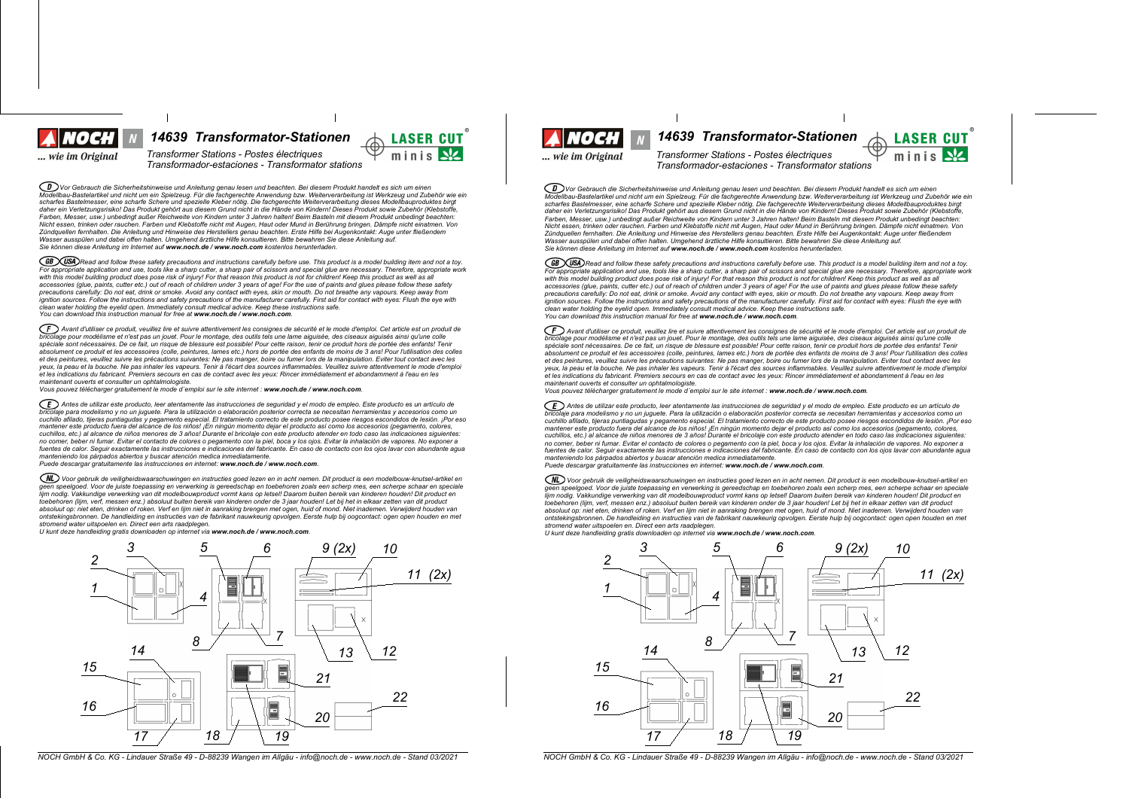Voel ... wie im Original

*14639 Transformator-Stationen 14639 Transformator-Stationen*

 $Transformer$  *Stations* - *Postes* électriques *Transformador-estaciones - Transformator stations*

◯ᢧᢧѴѹ Gebrauch die Sicherheitshinweise und Anleitung genau lesen und beachten. Bei diesem Produkt handelt es sich um einen<br>Modellbau-Bastelartikel und nicht um ein Spielzeug. Für die fachgerechte Anwendung bzw. Weitervera scharfes Bastelmesser, eine scharfe Schere und spezielle Kleber nötig. Die fachgerechte Weiterverarbeitung dieses Modellbauproduktes birgt daher ein Verletzungsrisiko! Das Produkt gehört aus diesem Grund nicht in die Hände von Kindern! Dieses Produkt sowie Zubehör (Klebstoffe Farben, Messer, usw.) unbedingt außer Reichweite von Kindern unter 3 Jahren halten! Beim Basteln mit diesem Produkt unbedingt beachten: Nicht essen, trinken oder rauchen. Farben und Klebstoffe nicht mit Augen, Haut oder Mund in Berührung bringen. Dämpfe nicht einatmen. Von Zündquellen fernhalten. Die Anleitung und Hinweise des Herstellers genau beachten. Erste Hilfe bei Augenkontakt: Auge unter fließendem<br>Wasser ausspülen und dabei offen halten. Umgehend ärztliche Hilfe konsultieren. Bitte b *Sie k|nnen diese Anleitung im Internet auf www.noch.de / www.noch.com kostenlos herunterladen.*

(GB) (USA) Read and follow these safety precautions and instructions carefully before use. This product is a model building item and not a toy. For appropriate application and use, tools like a sharp cutter, a sharp pair of scissors and special glue are necessary. Therefore, appropriate work<br>with this model building product does pose risk of injury! For that reaso accessories (glue, paints, cutter etc.) out of reach of children under 3 years of age! For the use of paints and glues please follow these safety precautions carefully: Do not eat, drink or smoke. Avoid any contact with eyes, skin or mouth. Do not breathe any vapours. Keep away from<br>ignition sources. Follow the instructions and safety precautions of the manufacturer *clean water holding the eyelid open. Immediately consult medical advice. Keep these instructions safe. You can download this instruction manual for free at www.noch.de / www.noch.com.*

 $(F)$  Avant d'utiliser ce produit, veuillez lire et suivre attentivement les consignes de sécurité et le mode d'emploi. Cet article est un produit de bricolage pour modélisme et n'est pas un jouet. Pour le montage, des outils tels une lame aiguisée, des ciseaux aiguisés ainsi qu'une colle<br>spéciale sont nécessaires. De ce fait, un risque de blessure est possible! Pour ce absolument ce produit et les accessoires (colle, peintures, lames etc.) hors de portée des enfants de moins de 3 ans! Pour l'utilisation des colles et des peintures, veuillez suivre les précautions suivantes: Ne pas manger, boire ou fumer lors de la manipulation. Eviter tout contact avec les yeux, la peau et la bouche. Ne pas inhaler les vapeurs. Tenir à l'écart des sources inflammables. Veuillez suivre attentivement le mode d'emploi et les indications du fabricant. Premiers secours en cas de contact avec les yeux: Rincer immédiatement et abondamment à l'eau en les *maintenant ouverts et consulter un ophtalmologiste.*

*Vous pouvez tplpcharger gratuitement le mode demploi sur le site internet : www.noch.de / www.noch.com.*

ED Antes de utilizar este producto, leer atentamente las instrucciones de seguridad y el modo de empleo. Este producto es un artículo de brigado es un artículo de .<br>aje para modelismo y no un juquete. Para la utilización o elaboración posterior correcta se necesitan herramientas y accesorios como un cuchillo afilado, tijeras puntiagudas y pegamento especial. El tratamiento correcto de este producto posee riesgos escondidos de lesión. ¡Por eso mantener este producto fuera del alcance de los niños! ¡En ningún momento dejar el producto así como los accesorios (pegamento, colores,<br>cuchillos, etc.) al alcance de niños menores de 3 años! Durante el bricolaje con este no comer, beber ni fumar. Evitar el contacto de colores o pegamento con la piel, boca y los ojos. Evitar la inhalación de vapores. No exponer a fuentes de calor. Sequir exactamente las instrucciones e indicaciones del fabricante. En caso de contacto con los ojos lavar con abundante aqua manteniendo los párpados abiertos y buscar atención medica inmediatamente.<br>Puede descargar gratuitamente las instrucciones en internet: **www.noch.de / www.noch.com**.

(NL) Voor gebruik de veiligheidswaarschuwingen en instructies goed lezen en in acht nemen. Dit product is een modelbouw-knutsel-artikel en geen speelgoed. Voor de juiste toepassing en verwerking is gereedschap en toebehoren zoals een scherp mes, een scherpe schaar en speciale lijm nodig. Vakkundige verwerking van dit modelbouwproduct vormt kans op letsel! Daarom buiten bereik van kinderen houden! Dit product en<br>toebehoren (lijm, verf, messen enz.) absoluut buiten bereik van kinderen onder de 3 absoluut op: niet eten, drinken of roken. Verf en lijm niet in aanraking brengen met ogen, huid of mond. Niet inademen. Verwijderd houden van<br>ontstekingsbronnen. De handleiding en instructies van de fabrikant nauwkeurig op

*stromend water uitspoelen en. Direct een arts raadplegen. U kunt deze handleiding gratis downloaden op internet via www.noch.de / www.noch.com.*



NOCH GmbH & Co. KG - Lindauer Straße 49 - D-88239 Wangen im Allgäu - info@noch.de - www.noch.de - Stand 03/2021 NOCH GmbH & Co. KG - Lindauer Straße 49 - D-88239 Wangen im Allgäu - info@noch.de - www.noch.de - Stand 03/202

... wie im Original

minis N

**LASER CUT** 

minis N

 $Transformer$  *Stations - Postes électriques Transformador-estaciones - Transformator stations*

 $\widehat{\mathcal{CD}}$  Vor Gebrauch die Sicherheitshinweise und Anleitung genau lesen und beachten. Bei diesem Produkt handelt es sich um einen Modellibau-Bastelartikel und nicht um ein Spielzeug. Für die fachgerechte Anwendung bzw. Weiterverarbeitung ist Werkzeug und Zubehör wie ein scharfes Bastelmesser, eine scharfe Schere und spezielle Kleber nötig. Die fachgerechte Weiterverarbeitung dieses Modellbauproduktes birgt<br>daher ein Verletzungsrisiko! Das Produkt gehört aus diesem Grund nicht in die Hände Earben Messer, usw.) unbedindt außer Reichweite von Kindern unter 3. Jahren halten! Beim Basteln mit diesem Produkt unbedindt beachten: r auch, messel, am.y answering aussi recommence verranner in the seament nature. Seam in Berührung bringen. Dämpfe nicht einstmen. Von<br>Nicht essen, trinken oder rauchen. Farben und Klebstoffe nicht mit Augen. Haut oder Mun num social proposation control in a major control of the control of the control of the control of the control of the control of the control of the control of the control of the control of the control of the control of the Wasser ausspillen und dabei offen halten Umgehend ärztliche Hilfe konsultieren Bitte bewahren Sie diese Anleitung auf *Sie k|nnen diese Anleitung im Internet auf www.noch.de / www.noch.com kostenlos herunterladen.*

(GB) USA) Read and follow these safety precautions and instructions carefully before use. This product is a model building item and not a toy. For appropriate application and use, tools like a sharp culter, a sharp pair of scissors and special que are necessary. Therefore, appropriate work with this model building product does pose risk of injury! For that reason this product is not for children! Keep this product as well as all<br>accessories (glue, paints, cutter etc.) out of reach of children under 3 years o precautions carefully: Do not eat, drink or smoke. Avoid any contact with eyes, skin or mouth. Do not breathe any vapours. Keep away from<br>ignition sources. Follow the instructions and safety precautions of the manufacturer *clean water holding the eyelid open. Immediately consult medical advice. Keep these instructions safe. You can download this instruction manual for free at www.noch.de / www.noch.com.*

(F) Avant d'utiliser ce produit, veuillez lire et suivre attentivement les consignes de sécurité et le mode d'emploi. Cet article est un produit de incolage pour modélisme et n'est pas un jouet. Pour le montage, des outils tels une lame aiguisée, des ciseaux aiguisés ainsi qu'une colle<br>Dricolage pour modélisme et n'est pas un jouet. Pour le montage, des outils tels un spéciale sont nécessaires. De ce fait, un risque de blessure est possible! Pour cette raison, tenir ce produit hors de portée des enfants! Tenir absolument ce produit et les accessoires (colle, peintures, lames etc.) hors de portée des enfants de moins de 3 ans! Pour l'utilisation des colles et des peintures, veuillez suivre les précautions suivantes: Ne pas manger, boire ou fumer lors de la manipulation. Eviter tout contact avec les veux, la peau et la bouche. Ne pas inhaler les vapeurs. Tenir à l'écart des sources inflammables. Veuillez suivre attentivement le mode d'emploi et les indications du fabricant. Premiers secours en cas de contact avec les yeux: Rincer immédiatement et abondamment à l'eau en les *maintenant ouverts et consulter un ophtalmologiste.*

*Vous pouvez tplpcharger gratuitement le mode demploi sur le site internet : www.noch.de / www.noch.com.*

ED Antes de utilizar este producto, leer atentamente las instrucciones de seguridad y el modo de empleo. Este producto es un artículo de bricolaje para modelismo y no un juguete. Para la utilización o elaboración posterior correcta se necesitan herramientas y accesorios como un<br>cuchillo afilado, tijeras puntiagudas y pegamento especial. El tratamiento corre mantener este producto fuera del alcance de los niños! ¡En ningún momento dejar el producto así como los accesorios (pegamento, colores, cuchillos, etc.) al alcance de niños menores de 3 años! Durante el bricolaje con este producto atender en todo caso las indicaciones siguientes: no comer, beber ni fumar. Evitar el contacto de colores o pegamento con la piel, boca y los ojos. Evitar la inhalación de vanores. No exponer a no comparador in anha comparador de comparadores e producedos del fabricante. En caso de contacto con los ojos lavar con abundante agua<br>fuentes de calor. Seguir exactamente las instrucciones e indicaciones del fabricante. *manteniendo los pirpados abiertos y buscar atenciyn medica inmediatamente.*

*Puede descargar gratuitamente las instrucciones en internet: www.noch.de / www.noch.com.*

Voor gebruik de veiligheidswaarschuwingen en instructies goed lezen en in acht nemen. Dit product is een modelbouw-knutsel-artikel en<br>geen speelgoed. Voor de juiste toepassing en verwerking is gereedschap en toebehoren zo geon approximation of the comparative in the main in general and the control of the control of the control of the control of the control of the control of the control of the control of the control of the control of the con toebehoren (lijm, verf, messen enz.) absoluut buiten bereik van kinderen onder de 3 jaar houden! Let bij het in elkaar zetten van dit product absoluut op: niet eten, drinken of roken. Verf en lijm niet in aanraking brengen met ogen, huid of mond. Niet inademen. Verwijderd houden van ontstekingsbronnen. De handleiding en instructies van de fabrikant nauwkeurig opvolgen. Eerste hulp bij oogcontact: ogen open houden en met *stromend water uitspoelen en. Direct een arts raadplegen.*

*U kunt deze handleiding gratis downloaden op internet via www.noch.de / www.noch.com.*